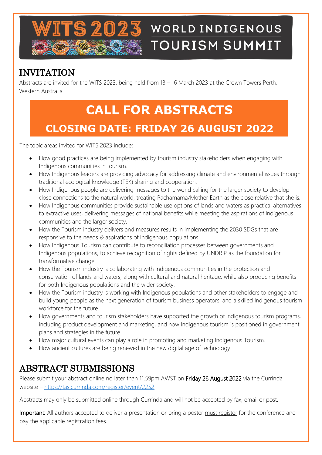

# **WORLD INDIGENOUS TOURISM SUMMIT**

## INVITATION

Abstracts are invited for the WITS 2023, being held from 13 – 16 March 2023 at the Crown Towers Perth, Western Australia

## **CALL FOR ABSTRACTS CLOSING DATE: FRIDAY 26 AUGUST 2022**

The topic areas invited for WITS 2023 include:

- How good practices are being implemented by tourism industry stakeholders when engaging with Indigenous communities in tourism.
- How Indigenous leaders are providing advocacy for addressing climate and environmental issues through traditional ecological knowledge (TEK) sharing and cooperation.
- How Indigenous people are delivering messages to the world calling for the larger society to develop close connections to the natural world, treating Pachamama/Mother Earth as the close relative that she is.
- How Indigenous communities provide sustainable use options of lands and waters as practical alternatives to extractive uses, delivering messages of national benefits while meeting the aspirations of Indigenous communities and the larger society.
- How the Tourism industry delivers and measures results in implementing the 2030 SDGs that are responsive to the needs & aspirations of Indigenous populations.
- How Indigenous Tourism can contribute to reconciliation processes between governments and Indigenous populations, to achieve recognition of rights defined by UNDRIP as the foundation for transformative change.
- How the Tourism industry is collaborating with Indigenous communities in the protection and conservation of lands and waters, along with cultural and natural heritage, while also producing benefits for both Indigenous populations and the wider society.
- How the Tourism industry is working with Indigenous populations and other stakeholders to engage and build young people as the next generation of tourism business operators, and a skilled Indigenous tourism workforce for the future.
- How governments and tourism stakeholders have supported the growth of Indigenous tourism programs, including product development and marketing, and how Indigenous tourism is positioned in government plans and strategies in the future.
- How major cultural events can play a role in promoting and marketing Indigenous Tourism.
- How ancient cultures are being renewed in the new digital age of technology.

### ABSTRACT SUBMISSIONS

Please submit your abstract online no later than 11.59pm AWST on Friday 26 August 2022 via the Currinda website – <https://tas.currinda.com/register/event/2252>

Abstracts may only be submitted online through Currinda and will not be accepted by fax, email or post.

Important: All authors accepted to deliver a presentation or bring a poster must register for the conference and pay the applicable registration fees.